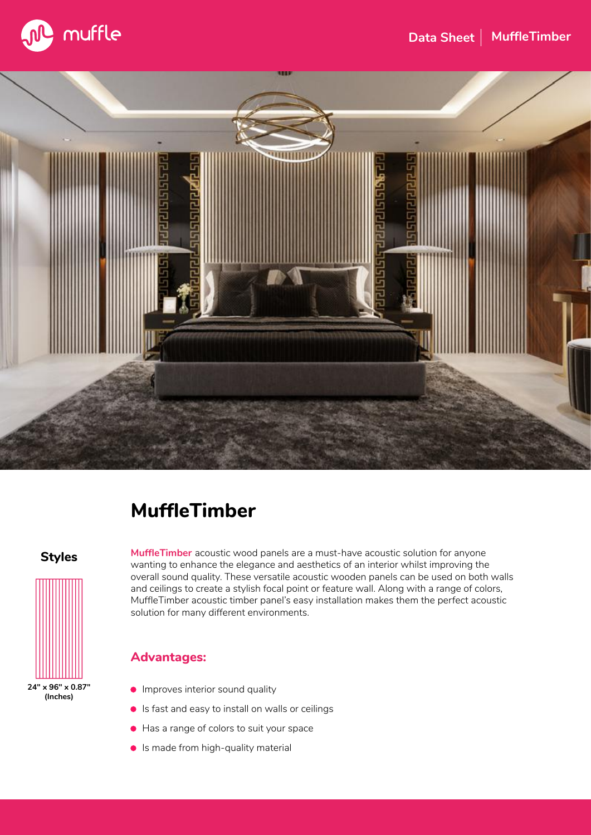



## **MuffleTimber**





**MuffleTimber** acoustic wood panels are a must-have acoustic solution for anyone wanting to enhance the elegance and aesthetics of an interior whilst improving the overall sound quality. These versatile acoustic wooden panels can be used on both walls and ceilings to create a stylish focal point or feature wall. Along with a range of colors, MuffleTimber acoustic timber panel's easy installation makes them the perfect acoustic solution for many different environments.

#### **Advantages:**

- **Improves interior sound quality**
- **In** Is fast and easy to install on walls or ceilings
- Has a range of colors to suit your space
- **Is made from high-quality material**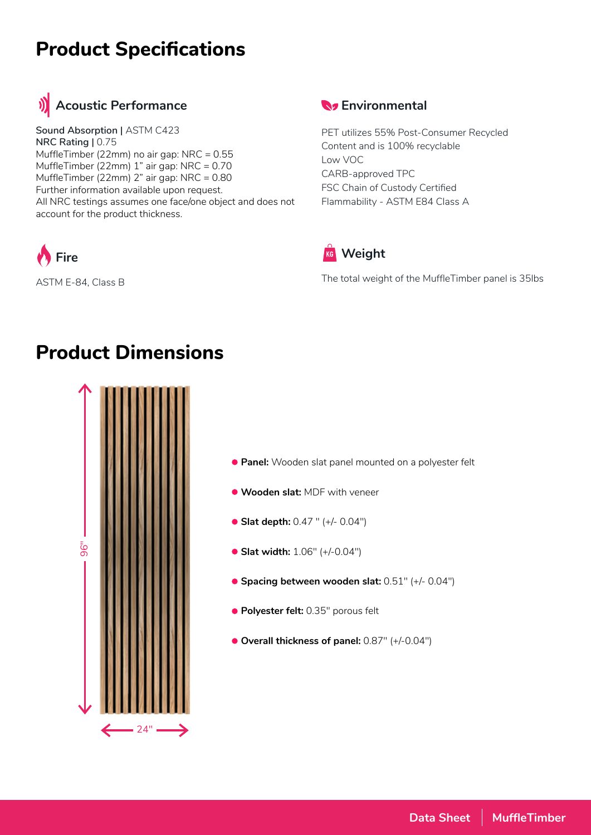## **Product Specifications**



**Sound Absorption |** ASTM C423 **NRC Rating |** 0.75 MuffleTimber (22mm) no air gap: NRC = 0.55 MuffleTimber (22mm) 1" air gap: NRC = 0.70 MuffleTimber (22mm) 2" air gap: NRC = 0.80 Further information available upon request. All NRC testings assumes one face/one object and does not account for the product thickness.



ASTM E-84, Class B

### **Environmental**

PET utilizes 55% Post-Consumer Recycled Content and is 100% recyclable Low VOC CARB-approved TPC FSC Chain of Custody Certified Flammability - ASTM E84 Class A



The total weight of the MuffleTimber panel is 35lbs

### **Product Dimensions**



- **Panel:** Wooden slat panel mounted on a polyester felt
- **Wooden slat:** MDF with veneer
- **Slat depth:** 0.47 " (+/- 0.04")
- **Slat width:** 1.06″ (+/-0.04″)
- **Spacing between wooden slat:** 0.51″ (+/- 0.04″)
- **Polyester felt:** 0.35″ porous felt
- **Overall thickness of panel:** 0.87″ (+/-0.04″)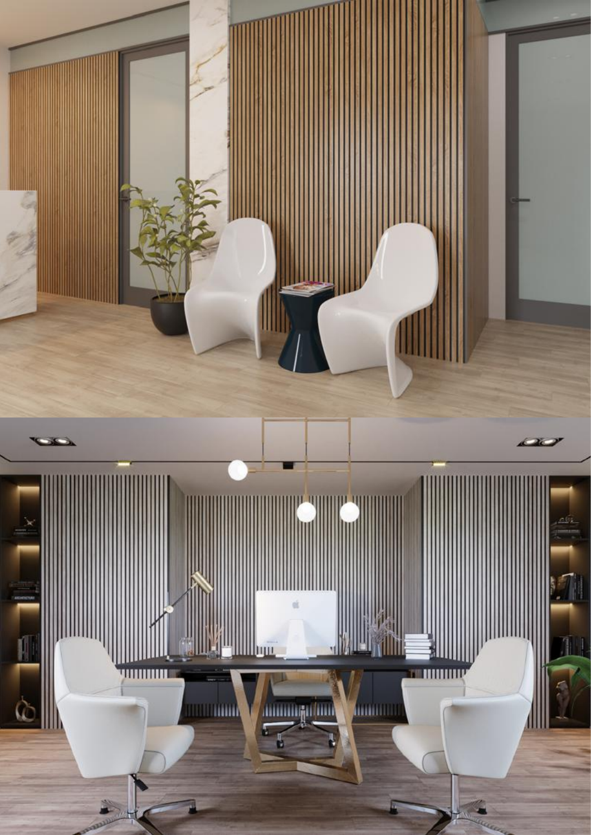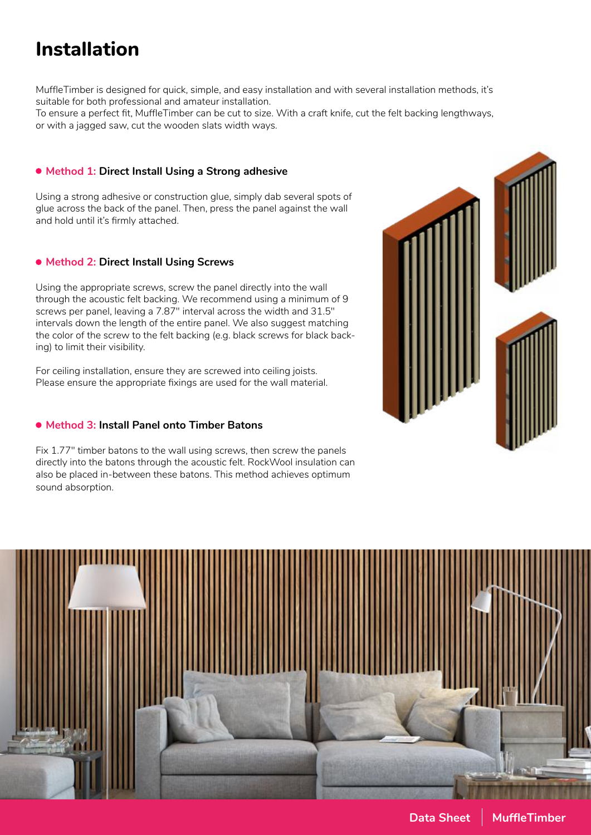# **Installation**

MuffleTimber is designed for quick, simple, and easy installation and with several installation methods, it's suitable for both professional and amateur installation.

To ensure a perfect fit, MuffleTimber can be cut to size. With a craft knife, cut the felt backing lengthways, or with a jagged saw, cut the wooden slats width ways.

#### **Method 1: Direct Install Using a Strong adhesive**

Using a strong adhesive or construction glue, simply dab several spots of glue across the back of the panel. Then, press the panel against the wall and hold until it's firmly attached.

#### **Method 2: Direct Install Using Screws**

Using the appropriate screws, screw the panel directly into the wall through the acoustic felt backing. We recommend using a minimum of 9 screws per panel, leaving a 7.87″ interval across the width and 31.5″ intervals down the length of the entire panel. We also suggest matching the color of the screw to the felt backing (e.g. black screws for black backing) to limit their visibility.  

For ceiling installation, ensure they are screwed into ceiling joists. Please ensure the appropriate fixings are used for the wall material.

#### **Method 3: Install Panel onto Timber Batons**

Fix 1.77″ timber batons to the wall using screws, then screw the panels directly into the batons through the acoustic felt. RockWool insulation can also be placed in-between these batons. This method achieves optimum sound absorption.